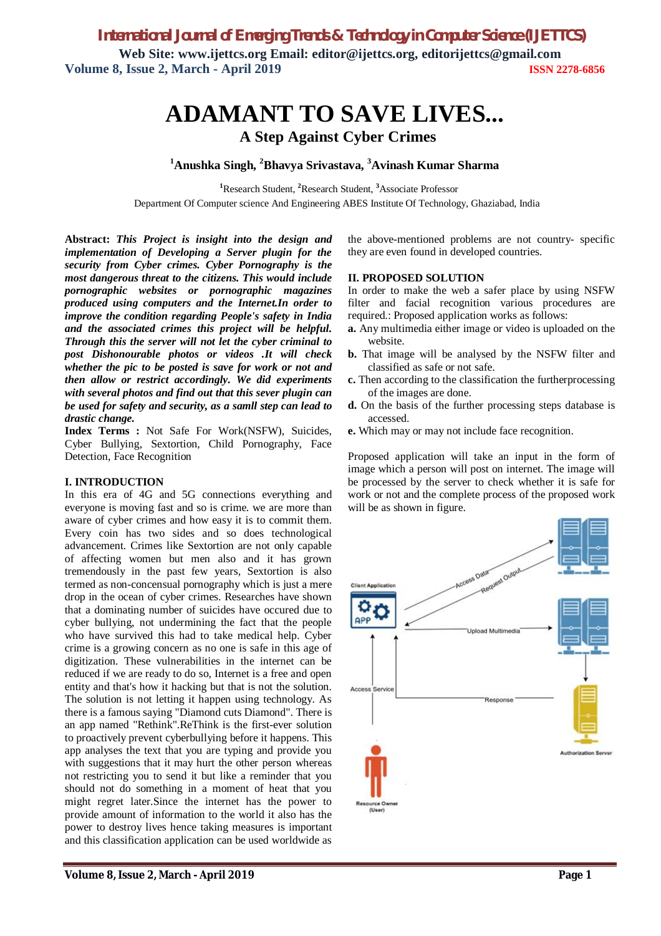*International Journal of Emerging Trends & Technology in Computer Science (IJETTCS)*

**Web Site: www.ijettcs.org Email: editor@ijettcs.org, editorijettcs@gmail.com Volume 8, Issue 2, March - April 2019 ISSN 2278-6856**

# **ADAMANT TO SAVE LIVES... A Step Against Cyber Crimes**

**<sup>1</sup>Anushka Singh, <sup>2</sup>Bhavya Srivastava, <sup>3</sup>Avinash Kumar Sharma**

**<sup>1</sup>**Research Student, **<sup>2</sup>**Research Student, **<sup>3</sup>**Associate Professor

Department Of Computer science And Engineering ABES Institute Of Technology, Ghaziabad, India

**Abstract:** *This Project is insight into the design and implementation of Developing a Server plugin for the security from Cyber crimes. Cyber Pornography is the most dangerous threat to the citizens. This would include pornographic websites or pornographic magazines produced using computers and the Internet.In order to improve the condition regarding People's safety in India and the associated crimes this project will be helpful. Through this the server will not let the cyber criminal to post Dishonourable photos or videos .It will check whether the pic to be posted is save for work or not and then allow or restrict accordingly. We did experiments with several photos and find out that this sever plugin can be used for safety and security, as a samll step can lead to drastic change.*

**Index Terms :** Not Safe For Work(NSFW), Suicides, Cyber Bullying, Sextortion, Child Pornography, Face Detection, Face Recognition

# **I. INTRODUCTION**

In this era of 4G and 5G connections everything and everyone is moving fast and so is crime. we are more than aware of cyber crimes and how easy it is to commit them. Every coin has two sides and so does technological advancement. Crimes like Sextortion are not only capable of affecting women but men also and it has grown tremendously in the past few years, Sextortion is also termed as non-concensual pornography which is just a mere drop in the ocean of cyber crimes. Researches have shown that a dominating number of suicides have occured due to cyber bullying, not undermining the fact that the people who have survived this had to take medical help. Cyber crime is a growing concern as no one is safe in this age of digitization. These vulnerabilities in the internet can be reduced if we are ready to do so, Internet is a free and open entity and that's how it hacking but that is not the solution. The solution is not letting it happen using technology. As there is a famous saying "Diamond cuts Diamond". There is an app named "Rethink".ReThink is the first-ever solution to proactively prevent cyberbullying before it happens. This app analyses the text that you are typing and provide you with suggestions that it may hurt the other person whereas not restricting you to send it but like a reminder that you should not do something in a moment of heat that you might regret later.Since the internet has the power to provide amount of information to the world it also has the power to destroy lives hence taking measures is important and this classification application can be used worldwide as

the above-mentioned problems are not country- specific they are even found in developed countries.

#### **II. PROPOSED SOLUTION**

In order to make the web a safer place by using NSFW filter and facial recognition various procedures are required.: Proposed application works as follows:

- **a.** Any multimedia either image or video is uploaded on the website.
- **b.** That image will be analysed by the NSFW filter and classified as safe or not safe.
- **c.** Then according to the classification the furtherprocessing of the images are done.
- **d.** On the basis of the further processing steps database is accessed.
- **e.** Which may or may not include face recognition.

Proposed application will take an input in the form of image which a person will post on internet. The image will be processed by the server to check whether it is safe for work or not and the complete process of the proposed work will be as shown in figure.

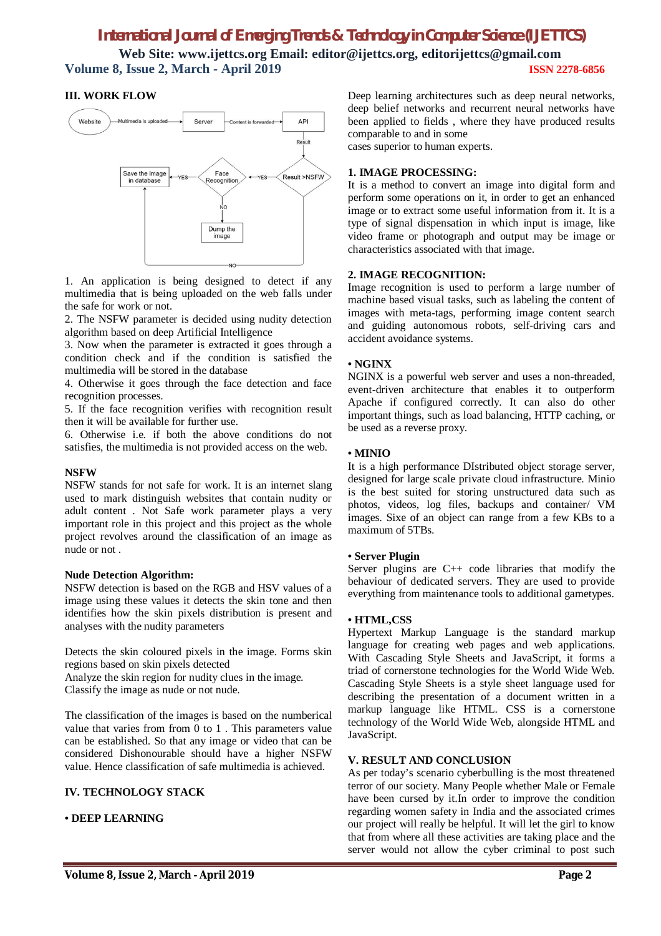# *International Journal of Emerging Trends & Technology in Computer Science (IJETTCS)*

**Web Site: www.ijettcs.org Email: editor@ijettcs.org, editorijettcs@gmail.com Volume 8, Issue 2, March - April 2019 ISSN 2278-6856**

# **III. WORK FLOW**



1. An application is being designed to detect if any multimedia that is being uploaded on the web falls under the safe for work or not.

2. The NSFW parameter is decided using nudity detection algorithm based on deep Artificial Intelligence

3. Now when the parameter is extracted it goes through a condition check and if the condition is satisfied the multimedia will be stored in the database

4. Otherwise it goes through the face detection and face recognition processes.

5. If the face recognition verifies with recognition result then it will be available for further use.

6. Otherwise i.e. if both the above conditions do not satisfies, the multimedia is not provided access on the web.

## **NSFW**

NSFW stands for not safe for work. It is an internet slang used to mark distinguish websites that contain nudity or adult content . Not Safe work parameter plays a very important role in this project and this project as the whole project revolves around the classification of an image as nude or not .

#### **Nude Detection Algorithm:**

NSFW detection is based on the RGB and HSV values of a image using these values it detects the skin tone and then identifies how the skin pixels distribution is present and analyses with the nudity parameters

Detects the skin coloured pixels in the image. Forms skin regions based on skin pixels detected Analyze the skin region for nudity clues in the image. Classify the image as nude or not nude.

The classification of the images is based on the numberical value that varies from from 0 to 1 . This parameters value can be established. So that any image or video that can be considered Dishonourable should have a higher NSFW value. Hence classification of safe multimedia is achieved.

## **IV. TECHNOLOGY STACK**

## **• DEEP LEARNING**

Deep learning architectures such as deep neural networks, deep belief networks and recurrent neural networks have been applied to fields , where they have produced results comparable to and in some

cases superior to human experts.

## **1. IMAGE PROCESSING:**

It is a method to convert an image into digital form and perform some operations on it, in order to get an enhanced image or to extract some useful information from it. It is a type of signal dispensation in which input is image, like video frame or photograph and output may be image or characteristics associated with that image.

# **2. IMAGE RECOGNITION:**

Image recognition is used to perform a large number of machine based visual tasks, such as labeling the content of images with meta-tags, performing image content search and guiding autonomous robots, self-driving cars and accident avoidance systems.

#### **• NGINX**

NGINX is a powerful web server and uses a non-threaded, event-driven architecture that enables it to outperform Apache if configured correctly. It can also do other important things, such as load balancing, HTTP caching, or be used as a reverse proxy.

#### **• MINIO**

It is a high performance DIstributed object storage server, designed for large scale private cloud infrastructure. Minio is the best suited for storing unstructured data such as photos, videos, log files, backups and container/ VM images. Sixe of an object can range from a few KBs to a maximum of 5TBs.

#### **• Server Plugin**

Server plugins are C++ code libraries that modify the behaviour of dedicated servers. They are used to provide everything from maintenance tools to additional gametypes.

#### **• HTML,CSS**

Hypertext Markup Language is the standard markup language for creating web pages and web applications. With Cascading Style Sheets and JavaScript, it forms a triad of cornerstone technologies for the World Wide Web. Cascading Style Sheets is a style sheet language used for describing the presentation of a document written in a markup language like HTML. CSS is a cornerstone technology of the World Wide Web, alongside HTML and JavaScript.

## **V. RESULT AND CONCLUSION**

As per today's scenario cyberbulling is the most threatened terror of our society. Many People whether Male or Female have been cursed by it.In order to improve the condition regarding women safety in India and the associated crimes our project will really be helpful. It will let the girl to know that from where all these activities are taking place and the server would not allow the cyber criminal to post such